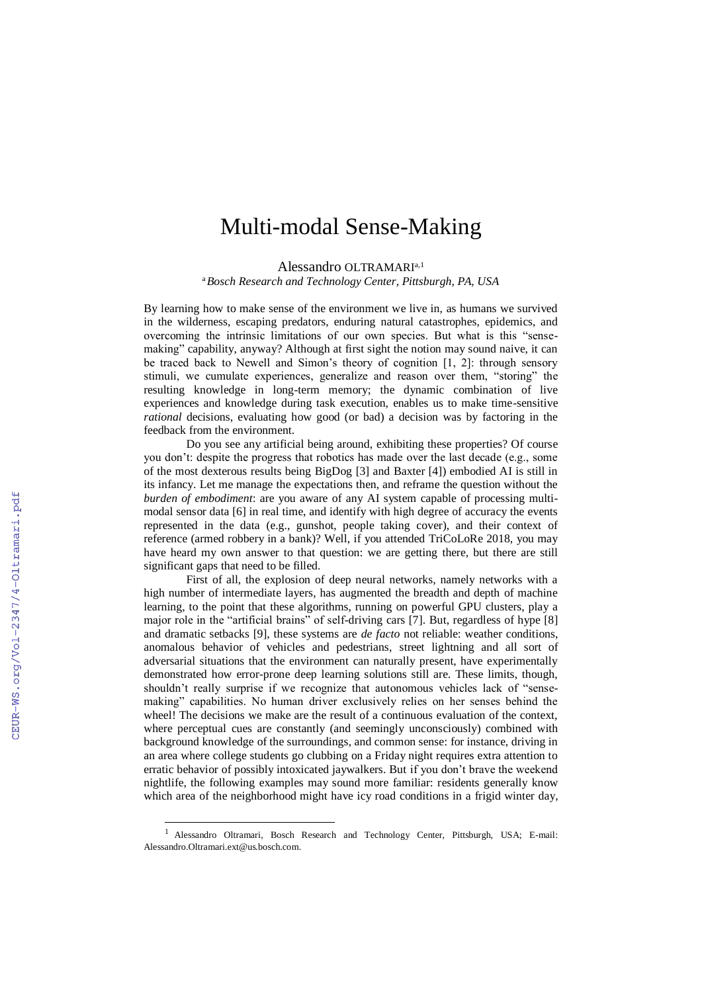## Multi-modal Sense-Making

Alessandro OLTRAMARIa,1

<sup>a</sup>*Bosch Research and Technology Center, Pittsburgh, PA, USA*

By learning how to make sense of the environment we live in, as humans we survived in the wilderness, escaping predators, enduring natural catastrophes, epidemics, and overcoming the intrinsic limitations of our own species. But what is this "sensemaking" capability, anyway? Although at first sight the notion may sound naive, it can be traced back to Newell and Simon's theory of cognition [1, 2]: through sensory stimuli, we cumulate experiences, generalize and reason over them, "storing" the resulting knowledge in long-term memory; the dynamic combination of live experiences and knowledge during task execution, enables us to make time-sensitive *rational* decisions, evaluating how good (or bad) a decision was by factoring in the feedback from the environment.

Do you see any artificial being around, exhibiting these properties? Of course you don't: despite the progress that robotics has made over the last decade (e.g., some of the most dexterous results being BigDog [3] and Baxter [4]) embodied AI is still in its infancy. Let me manage the expectations then, and reframe the question without the *burden of embodiment*: are you aware of any AI system capable of processing multimodal sensor data [6] in real time, and identify with high degree of accuracy the events represented in the data (e.g., gunshot, people taking cover), and their context of reference (armed robbery in a bank)? Well, if you attended TriCoLoRe 2018, you may have heard my own answer to that question: we are getting there, but there are still significant gaps that need to be filled.

First of all, the explosion of deep neural networks, namely networks with a high number of intermediate layers, has augmented the breadth and depth of machine learning, to the point that these algorithms, running on powerful GPU clusters, play a major role in the "artificial brains" of self-driving cars [7]. But, regardless of hype [8] and dramatic setbacks [9], these systems are *de facto* not reliable: weather conditions, anomalous behavior of vehicles and pedestrians, street lightning and all sort of adversarial situations that the environment can naturally present, have experimentally demonstrated how error-prone deep learning solutions still are. These limits, though, shouldn't really surprise if we recognize that autonomous vehicles lack of "sensemaking" capabilities. No human driver exclusively relies on her senses behind the wheel! The decisions we make are the result of a continuous evaluation of the context, where perceptual cues are constantly (and seemingly unconsciously) combined with background knowledge of the surroundings, and common sense: for instance, driving in an area where college students go clubbing on a Friday night requires extra attention to erratic behavior of possibly intoxicated jaywalkers. But if you don't brave the weekend nightlife, the following examples may sound more familiar: residents generally know which area of the neighborhood might have icy road conditions in a frigid winter day,

 $\overline{a}$ 

<sup>1</sup> Alessandro Oltramari, Bosch Research and Technology Center, Pittsburgh, USA; E-mail: Alessandro.Oltramari.ext@us.bosch.com.